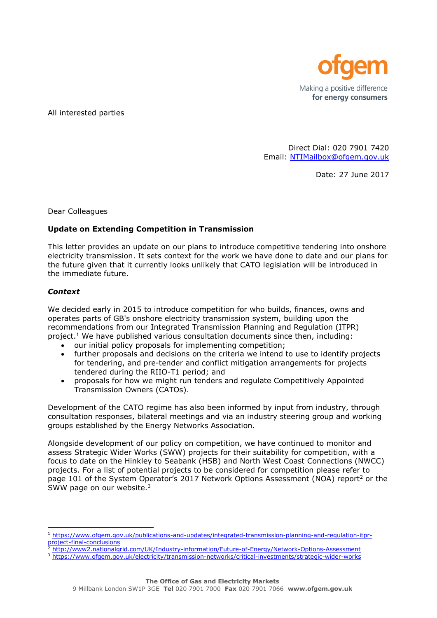

All interested parties

Direct Dial: 020 7901 7420 Email: [NTIMailbox@ofgem.gov.uk](mailto:NTIMailbox@ofgem.gov.uk)

Date: 27 June 2017

Dear Colleagues

## **Update on Extending Competition in Transmission**

This letter provides an update on our plans to introduce competitive tendering into onshore electricity transmission. It sets context for the work we have done to date and our plans for the future given that it currently looks unlikely that CATO legislation will be introduced in the immediate future.

## *Context*

-

We decided early in 2015 to introduce competition for who builds, finances, owns and operates parts of GB's onshore electricity transmission system, building upon the recommendations from our Integrated Transmission Planning and Regulation (ITPR) project.<sup>1</sup> We have published various consultation documents since then, including:

- our initial policy proposals for implementing competition;
- further proposals and decisions on the criteria we intend to use to identify projects for tendering, and pre-tender and conflict mitigation arrangements for projects tendered during the RIIO-T1 period; and
- proposals for how we might run tenders and regulate Competitively Appointed Transmission Owners (CATOs).

Development of the CATO regime has also been informed by input from industry, through consultation responses, bilateral meetings and via an industry steering group and working groups established by the Energy Networks Association.

Alongside development of our policy on competition, we have continued to monitor and assess Strategic Wider Works (SWW) projects for their suitability for competition, with a focus to date on the Hinkley to Seabank (HSB) and North West Coast Connections (NWCC) projects. For a list of potential projects to be considered for competition please refer to page 101 of the System Operator's 2017 Network Options Assessment (NOA) report<sup>2</sup> or the SWW page on our website.<sup>3</sup>

- 2<br>2 <http://www2.nationalgrid.com/UK/Industry-information/Future-of-Energy/Network-Options-Assessment>
- <sup>3</sup> <https://www.ofgem.gov.uk/electricity/transmission-networks/critical-investments/strategic-wider-works>

<sup>1</sup> [https://www.ofgem.gov.uk/publications-and-updates/integrated-transmission-planning-and-regulation-itpr](https://www.ofgem.gov.uk/publications-and-updates/integrated-transmission-planning-and-regulation-itpr-project-final-conclusions)[project-final-conclusions](https://www.ofgem.gov.uk/publications-and-updates/integrated-transmission-planning-and-regulation-itpr-project-final-conclusions)